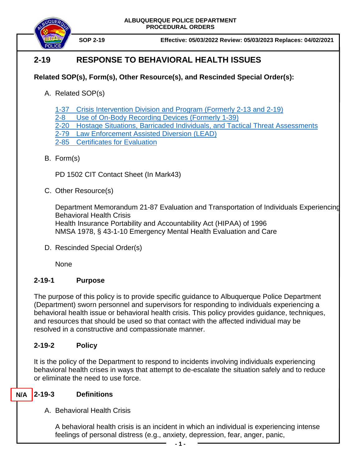

 **SOP 2-19 Effective: 05/03/2022 Review: 05/03/2023 Replaces: 04/02/2021**

# **2-19 RESPONSE TO BEHAVIORAL HEALTH ISSUES**

## **Related SOP(s), Form(s), Other Resource(s), and Rescinded Special Order(s):**

A. Related SOP(s)

[1-37 Crisis Intervention](https://powerdms.com/docs/96) Division and Program (Formerly 2-13 and 2-19)

- 2-8 [Use of On-Body Recording Devices](https://powerdms.com/docs/1137) (Formerly 1-39)
- [2-20 Hostage Situations, Barricaded Individuals, and Tactical Threat Assessments](https://powerdms.com/docs/125)
- [2-79 Law Enforcement Assisted Diversion \(LEAD\)](https://powerdms.com/docs/1820177)
- [2-85 Certificates for Evaluation](https://powerdms.com/docs/2452940?q=2-85)
- B. Form(s)

PD 1502 CIT Contact Sheet (In Mark43)

C. Other Resource(s)

Department Memorandum 21-87 Evaluation and Transportation of Individuals Experiencing Behavioral Health Crisis Health Insurance Portability and Accountability Act (HIPAA) of 1996 NMSA 1978, § 43-1-10 Emergency Mental Health Evaluation and Care

D. Rescinded Special Order(s)

None

## **2-19-1 Purpose**

The purpose of this policy is to provide specific guidance to Albuquerque Police Department (Department) sworn personnel and supervisors for responding to individuals experiencing a behavioral health issue or behavioral health crisis. This policy provides guidance, techniques, and resources that should be used so that contact with the affected individual may be resolved in a constructive and compassionate manner.

## **2-19-2 Policy**

It is the policy of the Department to respond to incidents involving individuals experiencing behavioral health crises in ways that attempt to de-escalate the situation safely and to reduce or eliminate the need to use force.

#### **2-19-3 Definitions N/A**

A. Behavioral Health Crisis

A behavioral health crisis is an incident in which an individual is experiencing intense feelings of personal distress (e.g., anxiety, depression, fear, anger, panic,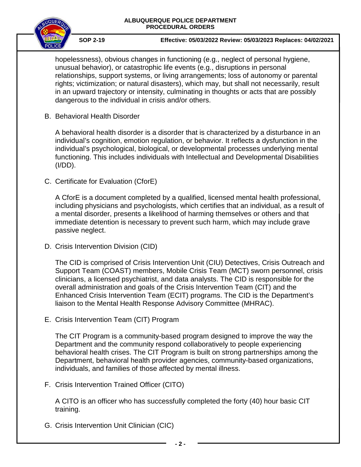

 **SOP 2-19 Effective: 05/03/2022 Review: 05/03/2023 Replaces: 04/02/2021**

hopelessness), obvious changes in functioning (e.g., neglect of personal hygiene, unusual behavior), or catastrophic life events (e.g., disruptions in personal relationships, support systems, or living arrangements; loss of autonomy or parental rights; victimization; or natural disasters), which may, but shall not necessarily, result in an upward trajectory or intensity, culminating in thoughts or acts that are possibly dangerous to the individual in crisis and/or others.

B. Behavioral Health Disorder

A behavioral health disorder is a disorder that is characterized by a disturbance in an individual's cognition, emotion regulation, or behavior. It reflects a dysfunction in the individual's psychological, biological, or developmental processes underlying mental functioning. This includes individuals with Intellectual and Developmental Disabilities (I/DD).

C. Certificate for Evaluation (CforE)

A CforE is a document completed by a qualified, licensed mental health professional, including physicians and psychologists, which certifies that an individual, as a result of a mental disorder, presents a likelihood of harming themselves or others and that immediate detention is necessary to prevent such harm, which may include grave passive neglect.

D. Crisis Intervention Division (CID)

The CID is comprised of Crisis Intervention Unit (CIU) Detectives, Crisis Outreach and Support Team (COAST) members, Mobile Crisis Team (MCT) sworn personnel, crisis clinicians, a licensed psychiatrist, and data analysts. The CID is responsible for the overall administration and goals of the Crisis Intervention Team (CIT) and the Enhanced Crisis Intervention Team (ECIT) programs. The CID is the Department's liaison to the Mental Health Response Advisory Committee (MHRAC).

E. Crisis Intervention Team (CIT) Program

The CIT Program is a community-based program designed to improve the way the Department and the community respond collaboratively to people experiencing behavioral health crises. The CIT Program is built on strong partnerships among the Department, behavioral health provider agencies, community-based organizations, individuals, and families of those affected by mental illness.

F. Crisis Intervention Trained Officer (CITO)

A CITO is an officer who has successfully completed the forty (40) hour basic CIT training.

G. Crisis Intervention Unit Clinician (CIC)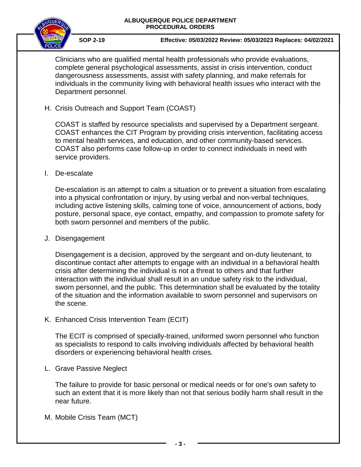

 **SOP 2-19 Effective: 05/03/2022 Review: 05/03/2023 Replaces: 04/02/2021**

Clinicians who are qualified mental health professionals who provide evaluations, complete general psychological assessments, assist in crisis intervention, conduct dangerousness assessments, assist with safety planning, and make referrals for individuals in the community living with behavioral health issues who interact with the Department personnel.

H. Crisis Outreach and Support Team (COAST)

COAST is staffed by resource specialists and supervised by a Department sergeant. COAST enhances the CIT Program by providing crisis intervention, facilitating access to mental health services, and education, and other community-based services. COAST also performs case follow-up in order to connect individuals in need with service providers.

I. De-escalate

De-escalation is an attempt to calm a situation or to prevent a situation from escalating into a physical confrontation or injury, by using verbal and non-verbal techniques, including active listening skills, calming tone of voice, announcement of actions, body posture, personal space, eye contact, empathy, and compassion to promote safety for both sworn personnel and members of the public.

J. Disengagement

Disengagement is a decision, approved by the sergeant and on-duty lieutenant, to discontinue contact after attempts to engage with an individual in a behavioral health crisis after determining the individual is not a threat to others and that further interaction with the individual shall result in an undue safety risk to the individual, sworn personnel, and the public. This determination shall be evaluated by the totality of the situation and the information available to sworn personnel and supervisors on the scene.

K. Enhanced Crisis Intervention Team (ECIT)

The ECIT is comprised of specially-trained, uniformed sworn personnel who function as specialists to respond to calls involving individuals affected by behavioral health disorders or experiencing behavioral health crises.

L. Grave Passive Neglect

The failure to provide for basic personal or medical needs or for one's own safety to such an extent that it is more likely than not that serious bodily harm shall result in the near future.

M. Mobile Crisis Team (MCT)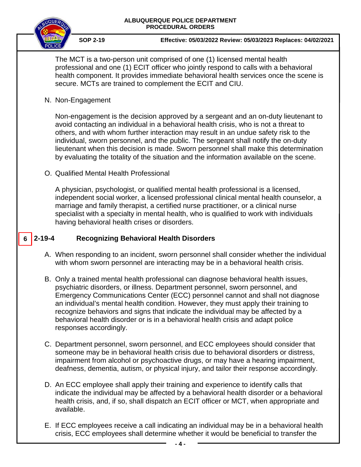

 **SOP 2-19 Effective: 05/03/2022 Review: 05/03/2023 Replaces: 04/02/2021**

The MCT is a two-person unit comprised of one (1) licensed mental health professional and one (1) ECIT officer who jointly respond to calls with a behavioral health component. It provides immediate behavioral health services once the scene is secure. MCTs are trained to complement the ECIT and CIU.

N. Non-Engagement

Non-engagement is the decision approved by a sergeant and an on-duty lieutenant to avoid contacting an individual in a behavioral health crisis, who is not a threat to others, and with whom further interaction may result in an undue safety risk to the individual, sworn personnel, and the public. The sergeant shall notify the on-duty lieutenant when this decision is made. Sworn personnel shall make this determination by evaluating the totality of the situation and the information available on the scene.

O. Qualified Mental Health Professional

A physician, psychologist, or qualified mental health professional is a licensed, independent social worker, a licensed professional clinical mental health counselor, a marriage and family therapist, a certified nurse practitioner, or a clinical nurse specialist with a specialty in mental health, who is qualified to work with individuals having behavioral health crises or disorders.

#### **2-19-4 Recognizing Behavioral Health Disorders 6**

- A. When responding to an incident, sworn personnel shall consider whether the individual with whom sworn personnel are interacting may be in a behavioral health crisis.
- B. Only a trained mental health professional can diagnose behavioral health issues, psychiatric disorders, or illness. Department personnel, sworn personnel, and Emergency Communications Center (ECC) personnel cannot and shall not diagnose an individual's mental health condition. However, they must apply their training to recognize behaviors and signs that indicate the individual may be affected by a behavioral health disorder or is in a behavioral health crisis and adapt police responses accordingly.
- C. Department personnel, sworn personnel, and ECC employees should consider that someone may be in behavioral health crisis due to behavioral disorders or distress, impairment from alcohol or psychoactive drugs, or may have a hearing impairment, deafness, dementia, autism, or physical injury, and tailor their response accordingly.
- D. An ECC employee shall apply their training and experience to identify calls that indicate the individual may be affected by a behavioral health disorder or a behavioral health crisis, and, if so, shall dispatch an ECIT officer or MCT, when appropriate and available.
- E. If ECC employees receive a call indicating an individual may be in a behavioral health crisis, ECC employees shall determine whether it would be beneficial to transfer the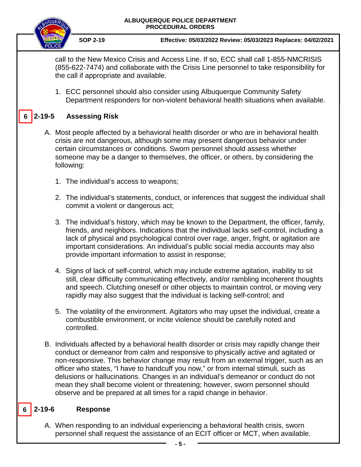

**6**

 **SOP 2-19 Effective: 05/03/2022 Review: 05/03/2023 Replaces: 04/02/2021**

call to the New Mexico Crisis and Access Line. If so, ECC shall call 1-855-NMCRISIS (855-622-7474) and collaborate with the Crisis Line personnel to take responsibility for the call if appropriate and available.

1. ECC personnel should also consider using Albuquerque Community Safety Department responders for non-violent behavioral health situations when available.

## **2-19-5 Assessing Risk**

- A. Most people affected by a behavioral health disorder or who are in behavioral health crisis are not dangerous, although some may present dangerous behavior under certain circumstances or conditions. Sworn personnel should assess whether someone may be a danger to themselves, the officer, or others, by considering the following:
	- 1. The individual's access to weapons;
	- 2. The individual's statements, conduct, or inferences that suggest the individual shall commit a violent or dangerous act;
	- 3. The individual's history, which may be known to the Department, the officer, family, friends, and neighbors. Indications that the individual lacks self-control, including a lack of physical and psychological control over rage, anger, fright, or agitation are important considerations. An individual's public social media accounts may also provide important information to assist in response;
	- 4. Signs of lack of self-control, which may include extreme agitation, inability to sit still, clear difficulty communicating effectively, and/or rambling incoherent thoughts and speech. Clutching oneself or other objects to maintain control, or moving very rapidly may also suggest that the individual is lacking self-control; and
	- 5. The volatility of the environment. Agitators who may upset the individual, create a combustible environment, or incite violence should be carefully noted and controlled.
- B. Individuals affected by a behavioral health disorder or crisis may rapidly change their conduct or demeanor from calm and responsive to physically active and agitated or non-responsive. This behavior change may result from an external trigger, such as an officer who states, "I have to handcuff you now," or from internal stimuli, such as delusions or hallucinations. Changes in an individual's demeanor or conduct do not mean they shall become violent or threatening; however, sworn personnel should observe and be prepared at all times for a rapid change in behavior.

#### **6 2-19-6 Response**

A. When responding to an individual experiencing a behavioral health crisis, sworn personnel shall request the assistance of an ECIT officer or MCT, when available.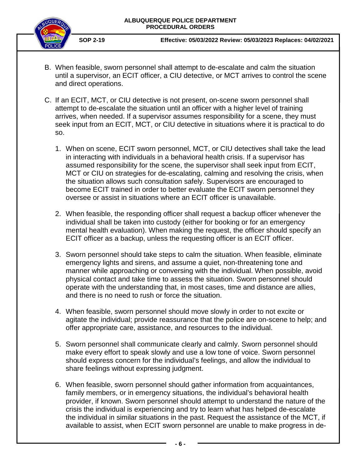

- B. When feasible, sworn personnel shall attempt to de-escalate and calm the situation until a supervisor, an ECIT officer, a CIU detective, or MCT arrives to control the scene and direct operations.
- C. If an ECIT, MCT, or CIU detective is not present, on-scene sworn personnel shall attempt to de-escalate the situation until an officer with a higher level of training arrives, when needed. If a supervisor assumes responsibility for a scene, they must seek input from an ECIT, MCT, or CIU detective in situations where it is practical to do so.
	- 1. When on scene, ECIT sworn personnel, MCT, or CIU detectives shall take the lead in interacting with individuals in a behavioral health crisis. If a supervisor has assumed responsibility for the scene, the supervisor shall seek input from ECIT, MCT or CIU on strategies for de-escalating, calming and resolving the crisis, when the situation allows such consultation safely. Supervisors are encouraged to become ECIT trained in order to better evaluate the ECIT sworn personnel they oversee or assist in situations where an ECIT officer is unavailable.
	- 2. When feasible, the responding officer shall request a backup officer whenever the individual shall be taken into custody (either for booking or for an emergency mental health evaluation). When making the request, the officer should specify an ECIT officer as a backup, unless the requesting officer is an ECIT officer.
	- 3. Sworn personnel should take steps to calm the situation. When feasible, eliminate emergency lights and sirens, and assume a quiet, non-threatening tone and manner while approaching or conversing with the individual. When possible, avoid physical contact and take time to assess the situation. Sworn personnel should operate with the understanding that, in most cases, time and distance are allies, and there is no need to rush or force the situation.
	- 4. When feasible, sworn personnel should move slowly in order to not excite or agitate the individual; provide reassurance that the police are on-scene to help; and offer appropriate care, assistance, and resources to the individual.
	- 5. Sworn personnel shall communicate clearly and calmly. Sworn personnel should make every effort to speak slowly and use a low tone of voice. Sworn personnel should express concern for the individual's feelings, and allow the individual to share feelings without expressing judgment.
	- 6. When feasible, sworn personnel should gather information from acquaintances, family members, or in emergency situations, the individual's behavioral health provider, if known. Sworn personnel should attempt to understand the nature of the crisis the individual is experiencing and try to learn what has helped de-escalate the individual in similar situations in the past. Request the assistance of the MCT, if available to assist, when ECIT sworn personnel are unable to make progress in de-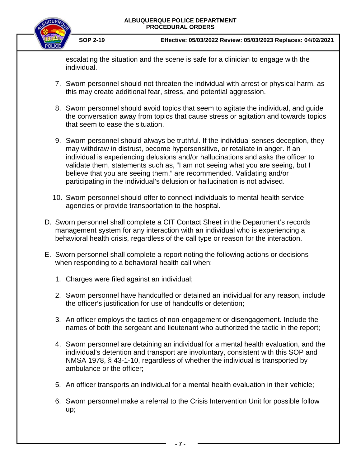

 **SOP 2-19 Effective: 05/03/2022 Review: 05/03/2023 Replaces: 04/02/2021**

escalating the situation and the scene is safe for a clinician to engage with the individual.

- 7. Sworn personnel should not threaten the individual with arrest or physical harm, as this may create additional fear, stress, and potential aggression.
- 8. Sworn personnel should avoid topics that seem to agitate the individual, and guide the conversation away from topics that cause stress or agitation and towards topics that seem to ease the situation.
- 9. Sworn personnel should always be truthful. If the individual senses deception, they may withdraw in distrust, become hypersensitive, or retaliate in anger. If an individual is experiencing delusions and/or hallucinations and asks the officer to validate them, statements such as, "I am not seeing what you are seeing, but I believe that you are seeing them," are recommended. Validating and/or participating in the individual's delusion or hallucination is not advised.
- 10. Sworn personnel should offer to connect individuals to mental health service agencies or provide transportation to the hospital.
- D. Sworn personnel shall complete a CIT Contact Sheet in the Department's records management system for any interaction with an individual who is experiencing a behavioral health crisis, regardless of the call type or reason for the interaction.
- E. Sworn personnel shall complete a report noting the following actions or decisions when responding to a behavioral health call when:
	- 1. Charges were filed against an individual;
	- 2. Sworn personnel have handcuffed or detained an individual for any reason, include the officer's justification for use of handcuffs or detention;
	- 3. An officer employs the tactics of non-engagement or disengagement. Include the names of both the sergeant and lieutenant who authorized the tactic in the report;
	- 4. Sworn personnel are detaining an individual for a mental health evaluation, and the individual's detention and transport are involuntary, consistent with this SOP and NMSA 1978, § 43-1-10, regardless of whether the individual is transported by ambulance or the officer;
	- 5. An officer transports an individual for a mental health evaluation in their vehicle;
	- 6. Sworn personnel make a referral to the Crisis Intervention Unit for possible follow up;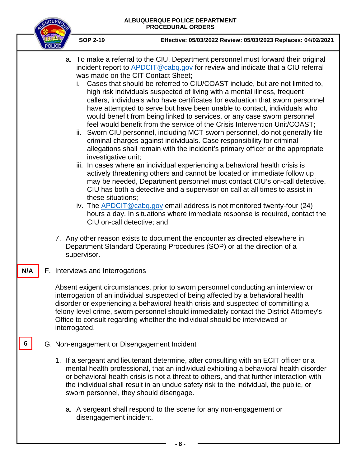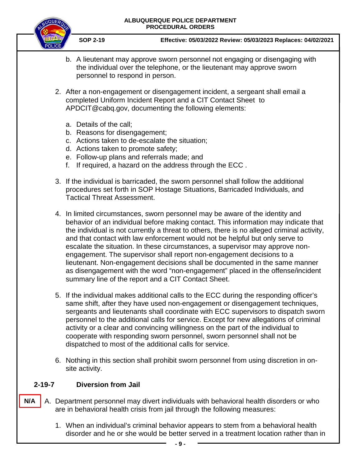

 **SOP 2-19 Effective: 05/03/2022 Review: 05/03/2023 Replaces: 04/02/2021**

- b. A lieutenant may approve sworn personnel not engaging or disengaging with the individual over the telephone, or the lieutenant may approve sworn personnel to respond in person.
- 2. After a non-engagement or disengagement incident, a sergeant shall email a completed Uniform Incident Report and a CIT Contact Sheet to APDCIT@cabq.gov, documenting the following elements:
	- a. Details of the call;
	- b. Reasons for disengagement;
	- c. Actions taken to de-escalate the situation;
	- d. Actions taken to promote safety;
	- e. Follow-up plans and referrals made; and
	- f. If required, a hazard on the address through the ECC .
- 3. If the individual is barricaded, the sworn personnel shall follow the additional procedures set forth in SOP Hostage Situations, Barricaded Individuals, and Tactical Threat Assessment.
- 4. In limited circumstances, sworn personnel may be aware of the identity and behavior of an individual before making contact. This information may indicate that the individual is not currently a threat to others, there is no alleged criminal activity, and that contact with law enforcement would not be helpful but only serve to escalate the situation. In these circumstances, a supervisor may approve nonengagement. The supervisor shall report non-engagement decisions to a lieutenant. Non-engagement decisions shall be documented in the same manner as disengagement with the word "non-engagement" placed in the offense/incident summary line of the report and a CIT Contact Sheet.
- 5. If the individual makes additional calls to the ECC during the responding officer's same shift, after they have used non-engagement or disengagement techniques, sergeants and lieutenants shall coordinate with ECC supervisors to dispatch sworn personnel to the additional calls for service. Except for new allegations of criminal activity or a clear and convincing willingness on the part of the individual to cooperate with responding sworn personnel, sworn personnel shall not be dispatched to most of the additional calls for service.
- 6. Nothing in this section shall prohibit sworn personnel from using discretion in onsite activity.

### **2-19-7 Diversion from Jail**

- A. Department personnel may divert individuals with behavioral health disorders or who are in behavioral health crisis from jail through the following measures: **N/A**
	- 1. When an individual's criminal behavior appears to stem from a behavioral health disorder and he or she would be better served in a treatment location rather than in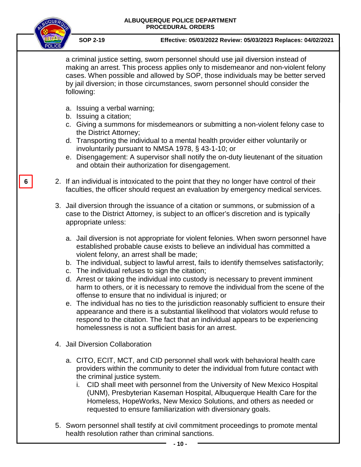|   |  | ALBUQUERQUE POLICE DEPARTMENT<br><b>PROCEDURAL ORDERS</b>                                                                                                                                                                                                                                                                                                                                                                                                                                                                                                                                                                                                                                                                                                                                                                                                                                                                |
|---|--|--------------------------------------------------------------------------------------------------------------------------------------------------------------------------------------------------------------------------------------------------------------------------------------------------------------------------------------------------------------------------------------------------------------------------------------------------------------------------------------------------------------------------------------------------------------------------------------------------------------------------------------------------------------------------------------------------------------------------------------------------------------------------------------------------------------------------------------------------------------------------------------------------------------------------|
|   |  | <b>SOP 2-19</b><br>Effective: 05/03/2022 Review: 05/03/2023 Replaces: 04/02/2021                                                                                                                                                                                                                                                                                                                                                                                                                                                                                                                                                                                                                                                                                                                                                                                                                                         |
|   |  | a criminal justice setting, sworn personnel should use jail diversion instead of<br>making an arrest. This process applies only to misdemeanor and non-violent felony<br>cases. When possible and allowed by SOP, those individuals may be better served<br>by jail diversion; in those circumstances, sworn personnel should consider the<br>following:                                                                                                                                                                                                                                                                                                                                                                                                                                                                                                                                                                 |
|   |  | a. Issuing a verbal warning;<br>b. Issuing a citation;<br>c. Giving a summons for misdemeanors or submitting a non-violent felony case to                                                                                                                                                                                                                                                                                                                                                                                                                                                                                                                                                                                                                                                                                                                                                                                |
|   |  | the District Attorney;<br>d. Transporting the individual to a mental health provider either voluntarily or<br>involuntarily pursuant to NMSA 1978, § 43-1-10; or                                                                                                                                                                                                                                                                                                                                                                                                                                                                                                                                                                                                                                                                                                                                                         |
|   |  | e. Disengagement: A supervisor shall notify the on-duty lieutenant of the situation<br>and obtain their authorization for disengagement.                                                                                                                                                                                                                                                                                                                                                                                                                                                                                                                                                                                                                                                                                                                                                                                 |
| 6 |  | 2. If an individual is intoxicated to the point that they no longer have control of their<br>faculties, the officer should request an evaluation by emergency medical services.                                                                                                                                                                                                                                                                                                                                                                                                                                                                                                                                                                                                                                                                                                                                          |
|   |  | 3. Jail diversion through the issuance of a citation or summons, or submission of a<br>case to the District Attorney, is subject to an officer's discretion and is typically<br>appropriate unless:                                                                                                                                                                                                                                                                                                                                                                                                                                                                                                                                                                                                                                                                                                                      |
|   |  | a. Jail diversion is not appropriate for violent felonies. When sworn personnel have<br>established probable cause exists to believe an individual has committed a<br>violent felony, an arrest shall be made;<br>b. The individual, subject to lawful arrest, fails to identify themselves satisfactorily;<br>c. The individual refuses to sign the citation;<br>d. Arrest or taking the individual into custody is necessary to prevent imminent<br>harm to others, or it is necessary to remove the individual from the scene of the<br>offense to ensure that no individual is injured; or<br>e. The individual has no ties to the jurisdiction reasonably sufficient to ensure their<br>appearance and there is a substantial likelihood that violators would refuse to<br>respond to the citation. The fact that an individual appears to be experiencing<br>homelessness is not a sufficient basis for an arrest. |
|   |  | 4. Jail Diversion Collaboration                                                                                                                                                                                                                                                                                                                                                                                                                                                                                                                                                                                                                                                                                                                                                                                                                                                                                          |
|   |  | a. CITO, ECIT, MCT, and CID personnel shall work with behavioral health care<br>providers within the community to deter the individual from future contact with<br>the criminal justice system.<br>CID shall meet with personnel from the University of New Mexico Hospital<br>(UNM), Presbyterian Kaseman Hospital, Albuquerque Health Care for the<br>Homeless, HopeWorks, New Mexico Solutions, and others as needed or<br>requested to ensure familiarization with diversionary goals.                                                                                                                                                                                                                                                                                                                                                                                                                               |

<sup>5.</sup> Sworn personnel shall testify at civil commitment proceedings to promote mental health resolution rather than criminal sanctions.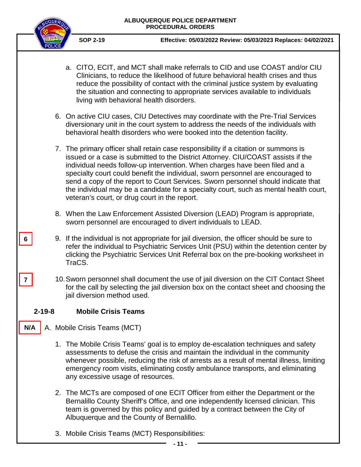

**7**

**6**

- a. CITO, ECIT, and MCT shall make referrals to CID and use COAST and/or CIU Clinicians, to reduce the likelihood of future behavioral health crises and thus reduce the possibility of contact with the criminal justice system by evaluating the situation and connecting to appropriate services available to individuals living with behavioral health disorders. 6. On active CIU cases, CIU Detectives may coordinate with the Pre-Trial Services diversionary unit in the court system to address the needs of the individuals with behavioral health disorders who were booked into the detention facility. 7. The primary officer shall retain case responsibility if a citation or summons is issued or a case is submitted to the District Attorney. CIU/COAST assists if the individual needs follow-up intervention. When charges have been filed and a specialty court could benefit the individual, sworn personnel are encouraged to send a copy of the report to Court Services. Sworn personnel should indicate that the individual may be a candidate for a specialty court, such as mental health court, veteran's court, or drug court in the report. 8. When the Law Enforcement Assisted Diversion (LEAD) Program is appropriate, sworn personnel are encouraged to divert individuals to LEAD. 9. If the individual is not appropriate for jail diversion, the officer should be sure to refer the individual to Psychiatric Services Unit (PSU) within the detention center by clicking the Psychiatric Services Unit Referral box on the pre-booking worksheet in TraCS. 10.Sworn personnel shall document the use of jail diversion on the CIT Contact Sheet for the call by selecting the jail diversion box on the contact sheet and choosing the jail diversion method used. **2-19-8 Mobile Crisis Teams** A. Mobile Crisis Teams (MCT) 1. The Mobile Crisis Teams' goal is to employ de-escalation techniques and safety assessments to defuse the crisis and maintain the individual in the community whenever possible, reducing the risk of arrests as a result of mental illness, limiting emergency room visits, eliminating costly ambulance transports, and eliminating any excessive usage of resources. 2. The MCTs are composed of one ECIT Officer from either the Department or the Bernalillo County Sheriff's Office, and one independently licensed clinician. This team is governed by this policy and guided by a contract between the City of Albuquerque and the County of Bernalillo. **N/A**
	- 3. Mobile Crisis Teams (MCT) Responsibilities: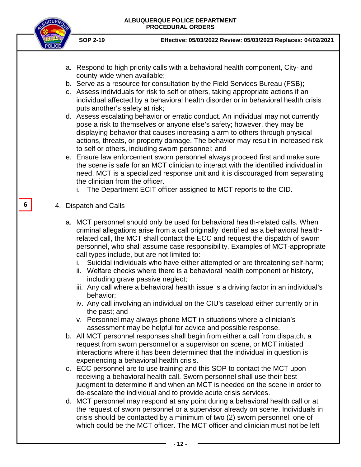**SOP 2-19 Effective: 05/03/2022 Review: 05/03/2023 Replaces: 04/02/2021**

- a. Respond to high priority calls with a behavioral health component, City- and county-wide when available;
- b. Serve as a resource for consultation by the Field Services Bureau (FSB);
- c. Assess individuals for risk to self or others, taking appropriate actions if an individual affected by a behavioral health disorder or in behavioral health crisis puts another's safety at risk;
- d. Assess escalating behavior or erratic conduct. An individual may not currently pose a risk to themselves or anyone else's safety; however, they may be displaying behavior that causes increasing alarm to others through physical actions, threats, or property damage. The behavior may result in increased risk to self or others, including sworn personnel; and
- e. Ensure law enforcement sworn personnel always proceed first and make sure the scene is safe for an MCT clinician to interact with the identified individual in need. MCT is a specialized response unit and it is discouraged from separating the clinician from the officer.
	- i. The Department ECIT officer assigned to MCT reports to the CID.
- 4. Dispatch and Calls

**6**

- a. MCT personnel should only be used for behavioral health-related calls. When criminal allegations arise from a call originally identified as a behavioral healthrelated call, the MCT shall contact the ECC and request the dispatch of sworn personnel, who shall assume case responsibility. Examples of MCT-appropriate call types include, but are not limited to:
	- i. Suicidal individuals who have either attempted or are threatening self-harm;
	- ii. Welfare checks where there is a behavioral health component or history, including grave passive neglect;
	- iii. Any call where a behavioral health issue is a driving factor in an individual's behavior;
	- iv. Any call involving an individual on the CIU's caseload either currently or in the past; and
	- v. Personnel may always phone MCT in situations where a clinician's assessment may be helpful for advice and possible response.
- b. All MCT personnel responses shall begin from either a call from dispatch, a request from sworn personnel or a supervisor on scene, or MCT initiated interactions where it has been determined that the individual in question is experiencing a behavioral health crisis.
- c. ECC personnel are to use training and this SOP to contact the MCT upon receiving a behavioral health call. Sworn personnel shall use their best judgment to determine if and when an MCT is needed on the scene in order to de-escalate the individual and to provide acute crisis services.
- d. MCT personnel may respond at any point during a behavioral health call or at the request of sworn personnel or a supervisor already on scene. Individuals in crisis should be contacted by a minimum of two (2) sworn personnel, one of which could be the MCT officer. The MCT officer and clinician must not be left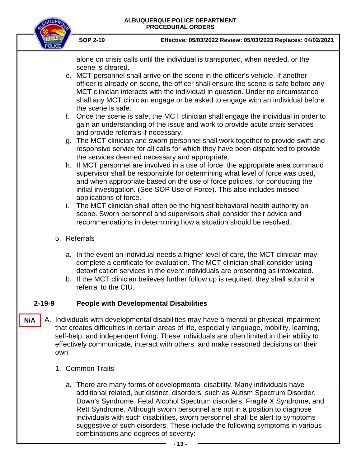

 **SOP 2-19 Effective: 05/03/2022 Review: 05/03/2023 Replaces: 04/02/2021**

alone on crisis calls until the individual is transported, when needed, or the scene is cleared.

- e. MCT personnel shall arrive on the scene in the officer's vehicle. If another officer is already on scene, the officer shall ensure the scene is safe before any MCT clinician interacts with the individual in question. Under no circumstance shall any MCT clinician engage or be asked to engage with an individual before the scene is safe.
- f. Once the scene is safe, the MCT clinician shall engage the individual in order to gain an understanding of the issue and work to provide acute crisis services and provide referrals if necessary.
- g. The MCT clinician and sworn personnel shall work together to provide swift and responsive service for all calls for which they have been dispatched to provide the services deemed necessary and appropriate.
- h. If MCT personnel are involved in a use of force, the appropriate area command supervisor shall be responsible for determining what level of force was used, and when appropriate based on the use of force policies, for conducting the initial investigation. (See SOP Use of Force). This also includes missed applications of force.
- i. The MCT clinician shall often be the highest behavioral health authority on scene. Sworn personnel and supervisors shall consider their advice and recommendations in determining how a situation should be resolved.
- 5. Referrals
	- a. In the event an individual needs a higher level of care, the MCT clinician may complete a certificate for evaluation. The MCT clinician shall consider using detoxification services in the event individuals are presenting as intoxicated.
	- b. If the MCT clinician believes further follow up is required, they shall submit a referral to the CIU.

## **2-19-9 People with Developmental Disabilities**

- A. Individuals with developmental disabilities may have a mental or physical impairment that creates difficulties in certain areas of life, especially language, mobility, learning, self-help, and independent living. These individuals are often limited in their ability to effectively communicate, interact with others, and make reasoned decisions on their own. **N/A**
	- 1. Common Traits
		- a. There are many forms of developmental disability. Many individuals have additional related, but distinct, disorders, such as Autism Spectrum Disorder, Down's Syndrome, Fetal Alcohol Spectrum disorders, Fragile X Syndrome, and Rett Syndrome. Although sworn personnel are not in a position to diagnose individuals with such disabilities, sworn personnel shall be alert to symptoms suggestive of such disorders. These include the following symptoms in various combinations and degrees of severity: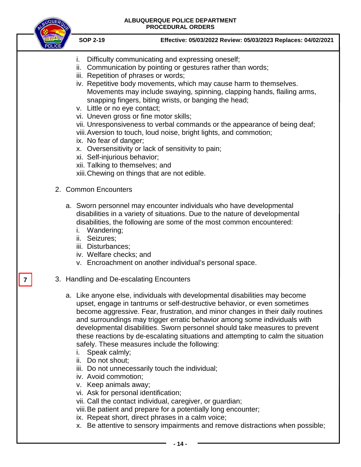

**7**

- i. Difficulty communicating and expressing oneself;
- ii. Communication by pointing or gestures rather than words;
- iii. Repetition of phrases or words;
- iv. Repetitive body movements, which may cause harm to themselves. Movements may include swaying, spinning, clapping hands, flailing arms, snapping fingers, biting wrists, or banging the head;
- v. Little or no eye contact;
- vi. Uneven gross or fine motor skills;
- vii. Unresponsiveness to verbal commands or the appearance of being deaf;
- viii.Aversion to touch, loud noise, bright lights, and commotion;
- ix. No fear of danger;
- x. Oversensitivity or lack of sensitivity to pain;
- xi. Self-injurious behavior;
- xii. Talking to themselves; and
- xiii.Chewing on things that are not edible.
- 2. Common Encounters
	- a. Sworn personnel may encounter individuals who have developmental disabilities in a variety of situations. Due to the nature of developmental disabilities, the following are some of the most common encountered:
		- i. Wandering;
		- ii. Seizures;
		- iii. Disturbances;
		- iv. Welfare checks; and
		- v. Encroachment on another individual's personal space.
- 3. Handling and De-escalating Encounters
	- a. Like anyone else, individuals with developmental disabilities may become upset, engage in tantrums or self-destructive behavior, or even sometimes become aggressive. Fear, frustration, and minor changes in their daily routines and surroundings may trigger erratic behavior among some individuals with developmental disabilities. Sworn personnel should take measures to prevent these reactions by de-escalating situations and attempting to calm the situation safely. These measures include the following:
		- i. Speak calmly;
		- ii. Do not shout;
		- iii. Do not unnecessarily touch the individual;
		- iv. Avoid commotion;
		- v. Keep animals away;
		- vi. Ask for personal identification;
		- vii. Call the contact individual, caregiver, or guardian;
		- viii.Be patient and prepare for a potentially long encounter;
		- ix. Repeat short, direct phrases in a calm voice;
		- x. Be attentive to sensory impairments and remove distractions when possible;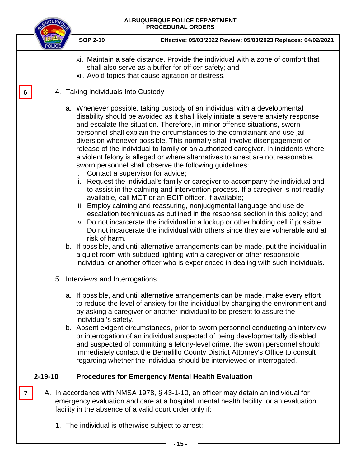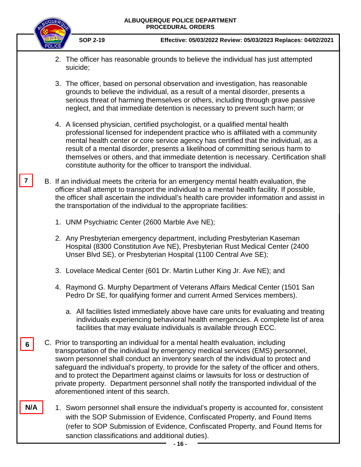**7**

**N/A**

- 2. The officer has reasonable grounds to believe the individual has just attempted suicide;
- 3. The officer, based on personal observation and investigation, has reasonable grounds to believe the individual, as a result of a mental disorder, presents a serious threat of harming themselves or others, including through grave passive neglect, and that immediate detention is necessary to prevent such harm; or
- 4. A licensed physician, certified psychologist, or a qualified mental health professional licensed for independent practice who is affiliated with a community mental health center or core service agency has certified that the individual, as a result of a mental disorder, presents a likelihood of committing serious harm to themselves or others, and that immediate detention is necessary. Certification shall constitute authority for the officer to transport the individual.
- B. If an individual meets the criteria for an emergency mental health evaluation, the officer shall attempt to transport the individual to a mental health facility. If possible, the officer shall ascertain the individual's health care provider information and assist in the transportation of the individual to the appropriate facilities:
	- 1. UNM Psychiatric Center (2600 Marble Ave NE);
	- 2. Any Presbyterian emergency department, including Presbyterian Kaseman Hospital (8300 Constitution Ave NE), Presbyterian Rust Medical Center (2400 Unser Blvd SE), or Presbyterian Hospital (1100 Central Ave SE);
	- 3. Lovelace Medical Center (601 Dr. Martin Luther King Jr. Ave NE); and
	- 4. Raymond G. Murphy Department of Veterans Affairs Medical Center (1501 San Pedro Dr SE, for qualifying former and current Armed Services members).
		- a. All facilities listed immediately above have care units for evaluating and treating individuals experiencing behavioral health emergencies. A complete list of area facilities that may evaluate individuals is available through ECC.
- C. Prior to transporting an individual for a mental health evaluation, including transportation of the individual by emergency medical services (EMS) personnel, sworn personnel shall conduct an inventory search of the individual to protect and safeguard the individual's property, to provide for the safety of the officer and others, and to protect the Department against claims or lawsuits for loss or destruction of private property. Department personnel shall notify the transported individual of the aforementioned intent of this search. **6**
	- 1. Sworn personnel shall ensure the individual's property is accounted for, consistent with the SOP Submission of Evidence, Confiscated Property, and Found Items (refer to SOP Submission of Evidence, Confiscated Property, and Found Items for sanction classifications and additional duties).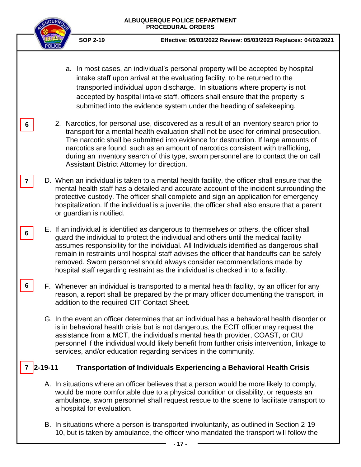

**6**

**6**

**6**

 **SOP 2-19 Effective: 05/03/2022 Review: 05/03/2023 Replaces: 04/02/2021**

- a. In most cases, an individual's personal property will be accepted by hospital intake staff upon arrival at the evaluating facility, to be returned to the transported individual upon discharge. In situations where property is not accepted by hospital intake staff, officers shall ensure that the property is submitted into the evidence system under the heading of safekeeping.
- 2. Narcotics, for personal use, discovered as a result of an inventory search prior to transport for a mental health evaluation shall not be used for criminal prosecution. The narcotic shall be submitted into evidence for destruction. If large amounts of narcotics are found, such as an amount of narcotics consistent with trafficking, during an inventory search of this type, sworn personnel are to contact the on call Assistant District Attorney for direction.
- D. When an individual is taken to a mental health facility, the officer shall ensure that the mental health staff has a detailed and accurate account of the incident surrounding the protective custody. The officer shall complete and sign an application for emergency hospitalization. If the individual is a juvenile, the officer shall also ensure that a parent or guardian is notified. **7**
	- E. If an individual is identified as dangerous to themselves or others, the officer shall guard the individual to protect the individual and others until the medical facility assumes responsibility for the individual. All Individuals identified as dangerous shall remain in restraints until hospital staff advises the officer that handcuffs can be safely removed. Sworn personnel should always consider recommendations made by hospital staff regarding restraint as the individual is checked in to a facility.
	- F. Whenever an individual is transported to a mental health facility, by an officer for any reason, a report shall be prepared by the primary officer documenting the transport, in addition to the required CIT Contact Sheet.
		- G. In the event an officer determines that an individual has a behavioral health disorder or is in behavioral health crisis but is not dangerous, the ECIT officer may request the assistance from a MCT, the individual's mental health provider, COAST, or CIU personnel if the individual would likely benefit from further crisis intervention, linkage to services, and/or education regarding services in the community.

#### **2-19-11 Transportation of Individuals Experiencing a Behavioral Health Crisis 7**

- A. In situations where an officer believes that a person would be more likely to comply, would be more comfortable due to a physical condition or disability, or requests an ambulance, sworn personnel shall request rescue to the scene to facilitate transport to a hospital for evaluation.
- B. In situations where a person is transported involuntarily, as outlined in Section 2-19- 10, but is taken by ambulance, the officer who mandated the transport will follow the